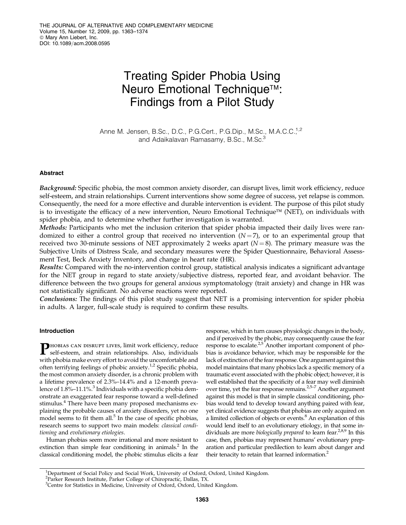# Treating Spider Phobia Using Neuro Emotional Technique<sup>™</sup>: Findings from a Pilot Study

Anne M. Jensen, B.Sc., D.C., P.G.Cert., P.G.Dip., M.Sc., M.A.C.C.,<sup>1,2</sup> and Adaikalavan Ramasamy, B.Sc., M.Sc.<sup>3</sup>

# Abstract

**Background:** Specific phobia, the most common anxiety disorder, can disrupt lives, limit work efficiency, reduce self-esteem, and strain relationships. Current interventions show some degree of success, yet relapse is common. Consequently, the need for a more effective and durable intervention is evident. The purpose of this pilot study is to investigate the efficacy of a new intervention, Neuro Emotional Technique™ (NET), on individuals with spider phobia, and to determine whether further investigation is warranted.

Methods: Participants who met the inclusion criterion that spider phobia impacted their daily lives were randomized to either a control group that received no intervention  $(N=7)$ , or to an experimental group that received two 30-minute sessions of NET approximately 2 weeks apart  $(N = 8)$ . The primary measure was the Subjective Units of Distress Scale, and secondary measures were the Spider Questionnaire, Behavioral Assessment Test, Beck Anxiety Inventory, and change in heart rate (HR).

Results: Compared with the no-intervention control group, statistical analysis indicates a significant advantage for the NET group in regard to state anxiety/subjective distress, reported fear, and avoidant behavior. The difference between the two groups for general anxious symptomatology (trait anxiety) and change in HR was not statistically significant. No adverse reactions were reported.

Conclusions: The findings of this pilot study suggest that NET is a promising intervention for spider phobia in adults. A larger, full-scale study is required to confirm these results.

# Introduction

PHOBIAS CAN DISRUPT LIVES, limit work efficiency, reduce self-esteem, and strain relationships. Also, individuals with phobia make every effort to avoid the uncomfortable and often terrifying feelings of phobic anxiety.<sup>1,2</sup> Specific phobia, the most common anxiety disorder, is a chronic problem with a lifetime prevalence of 2.3%–14.4% and a 12-month prevalence of  $1.8\%$ –11.1%.<sup>3</sup> Individuals with a specific phobia demonstrate an exaggerated fear response toward a well-defined stimulus.<sup>4</sup> There have been many proposed mechanisms explaining the probable causes of anxiety disorders, yet no one model seems to fit them all. $<sup>5</sup>$  In the case of specific phobias,</sup> research seems to support two main models: classical conditioning and evolutionary etiologies.

Human phobias seem more irrational and more resistant to extinction than simple fear conditioning in animals.<sup>2</sup> In the classical conditioning model, the phobic stimulus elicits a fear

response, which in turn causes physiologic changes in the body, and if perceived by the phobic, may consequently cause the fear response to escalate. $2.5$  Another important component of phobias is avoidance behavior, which may be responsible for the lack of extinction of the fear response. One argument against this model maintains that many phobics lack a specific memory of a traumatic event associated with the phobic object; however, it is well established that the specificity of a fear may well diminish over time, yet the fear response remains.<sup>2,5-7</sup> Another argument against this model is that in simple classical conditioning, phobias would tend to develop toward anything paired with fear, yet clinical evidence suggests that phobias are only acquired on a limited collection of objects or events.<sup>8</sup> An explanation of this would lend itself to an evolutionary etiology, in that some individuals are more biologically prepared to learn fear.<sup>2,8,9</sup> In this case, then, phobias may represent humans' evolutionary preparation and particular predilection to learn about danger and their tenacity to retain that learned information.<sup>2</sup>

<sup>&</sup>lt;sup>1</sup>Department of Social Policy and Social Work, University of Oxford, Oxford, United Kingdom.

<sup>&</sup>lt;sup>2</sup>Parker Research Institute, Parker College of Chiropractic, Dallas, TX.

<sup>&</sup>lt;sup>3</sup>Centre for Statistics in Medicine, University of Oxford, Oxford, United Kingdom.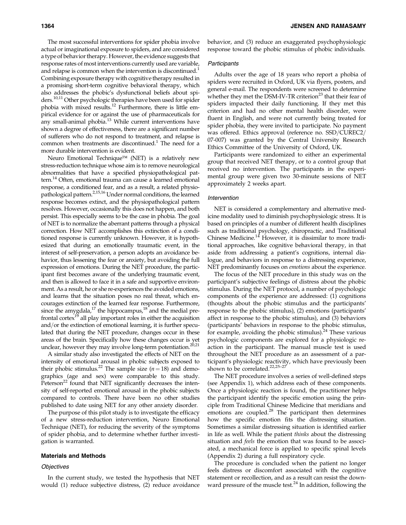The most successful interventions for spider phobia involve actual or imaginational exposure to spiders, and are considered a type of behavior therapy. However, the evidence suggests that response rates of most interventions currently used are variable, and relapse is common when the intervention is discontinued.<sup>1</sup> Combining exposure therapy with cognitive therapy resulted in a promising short-term cognitive behavioral therapy, which also addresses the phobic's dysfunctional beliefs about spiders.<sup>10,11</sup> Other psychologic therapies have been used for spider phobia with mixed results.12 Furthermore, there is little empirical evidence for or against the use of pharmaceuticals for any small-animal phobia.<sup>13</sup> While current interventions have shown a degree of effectiveness, there are a significant number of sufferers who do not respond to treatment, and relapse is common when treatments are discontinued.<sup>1</sup> The need for a more durable intervention is evident.

Neuro Emotional Technique™ (NET) is a relatively new stress-reduction technique whose aim is to remove neurological abnormalities that have a specified physiopathological pattern.<sup>14</sup> Often, emotional trauma can cause a learned emotional response, a conditioned fear, and as a result, a related physiopathological pattern.2,15,16 Under normal conditions, the learned response becomes extinct, and the physiopathological pattern resolves. However, occasionally this does not happen, and both persist. This especially seems to be the case in phobia. The goal of NET is to normalize the aberrant patterns through a physical correction. How NET accomplishes this extinction of a conditioned response is currently unknown. However, it is hypothesized that during an emotionally traumatic event, in the interest of self-preservation, a person adopts an avoidance behavior, thus lessening the fear or anxiety, but avoiding the full expression of emotions. During the NET procedure, the participant first becomes aware of the underlying traumatic event, and then is allowed to face it in a safe and supportive environment. As a result, he or she re-experiences the avoided emotions, and learns that the situation poses no real threat, which encourages extinction of the learned fear response. Furthermore, since the amygdala, $^{17}$  the hippocampus, $^{18}$  and the medial prefrontal cortex $^{19}$  all play important roles in either the acquisition and/or the extinction of emotional learning, it is further speculated that during the NET procedure, changes occur in these areas of the brain. Specifically how these changes occur is yet unclear, however they may involve long-term potentiation. $20,21$ 

A similar study also investigated the effects of NET on the intensity of emotional arousal in phobic subjects exposed to their phobic stimulus.<sup>22</sup> The sample size ( $n = 18$ ) and demographics (age and sex) were comparable to this study. Peterson<sup>22</sup> found that NET significantly decreases the intensity of self-reported emotional arousal in the phobic subjects compared to controls. There have been no other studies published to date using NET for any other anxiety disorder.

The purpose of this pilot study is to investigate the efficacy of a new stress-reduction intervention, Neuro Emotional Technique (NET), for reducing the severity of the symptoms of spider phobia, and to determine whether further investigation is warranted.

#### Materials and Methods

#### **Objectives**

In the current study, we tested the hypothesis that NET would (1) reduce subjective distress, (2) reduce avoidance behavior, and (3) reduce an exaggerated psychophysiologic response toward the phobic stimulus of phobic individuals.

## **Participants**

Adults over the age of 18 years who report a phobia of spiders were recruited in Oxford, UK via flyers, posters, and general e-mail. The respondents were screened to determine whether they met the DSM-IV-TR criterion<sup>23</sup> that their fear of spiders impacted their daily functioning. If they met this criterion and had no other mental health disorder, were fluent in English, and were not currently being treated for spider phobia, they were invited to participate. No payment was offered. Ethics approval (reference no. SSD/CUREC2/ 07-007) was granted by the Central University Research Ethics Committee of the University of Oxford, UK.

Participants were randomized to either an experimental group that received NET therapy, or to a control group that received no intervention. The participants in the experimental group were given two 30-minute sessions of NET approximately 2 weeks apart.

# Intervention

NET is considered a complementary and alternative medicine modality used to diminish psychophysiologic stress. It is based on principles of a number of different health disciplines such as traditional psychology, chiropractic, and Traditional Chinese Medicine. $14$  However, it is dissimilar to more traditional approaches, like cognitive behavioral therapy, in that aside from addressing a patient's cognitions, internal dialogue, and behaviors in response to a distressing experience, NET predominantly focuses on emotions about the experience.

The focus of the NET procedure in this study was on the participant's subjective feelings of distress about the phobic stimulus. During the NET protocol, a number of psychologic components of the experience are addressed: (1) cognitions (thoughts about the phobic stimulus and the participants' response to the phobic stimulus), (2) emotions (participants' affect in response to the phobic stimulus), and (3) behaviors (participants' behaviors in response to the phobic stimulus, for example, avoiding the phobic stimulus).<sup>24</sup> These various psychologic components are explored for a physiologic reaction in the participant. The manual muscle test is used throughout the NET procedure as an assessment of a participant's physiologic reactivity, which have previously been shown to be correlated. $22,25-27$ 

The NET procedure involves a series of well-defined steps (see Appendix 1), which address each of these components. Once a physiologic reaction is found, the practitioner helps the participant identify the specific emotion using the principle from Traditional Chinese Medicine that meridians and emotions are coupled.<sup>28</sup> The participant then determines how the specific emotion fits the distressing situation. Sometimes a similar distressing situation is identified earlier in life as well. While the patient thinks about the distressing situation and feels the emotion that was found to be associated, a mechanical force is applied to specific spinal levels (Appendix 2) during a full respiratory cycle.

The procedure is concluded when the patient no longer feels distress or discomfort associated with the cognitive statement or recollection, and as a result can resist the downward pressure of the muscle test.<sup>24</sup> In addition, following the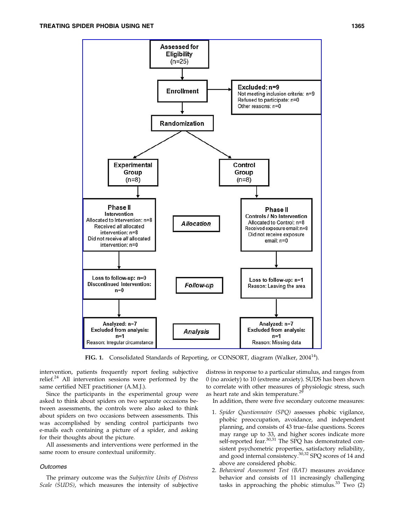

FIG. 1. Consolidated Standards of Reporting, or CONSORT, diagram (Walker, 2004<sup>14</sup>).

intervention, patients frequently report feeling subjective relief.<sup>24</sup> All intervention sessions were performed by the same certified NET practitioner (A.M.J.).

Since the participants in the experimental group were asked to think about spiders on two separate occasions between assessments, the controls were also asked to think about spiders on two occasions between assessments. This was accomplished by sending control participants two e-mails each containing a picture of a spider, and asking for their thoughts about the picture.

All assessments and interventions were performed in the same room to ensure contextual uniformity.

# **Outcomes**

The primary outcome was the Subjective Units of Distress Scale (SUDS), which measures the intensity of subjective distress in response to a particular stimulus, and ranges from 0 (no anxiety) to 10 (extreme anxiety). SUDS has been shown to correlate with other measures of physiologic stress, such as heart rate and skin temperature.<sup>29</sup>

In addition, there were five secondary outcome measures:

- 1. Spider Questionnaire (SPQ) assesses phobic vigilance, phobic preoccupation, avoidance, and independent planning, and consists of 43 true–false questions. Scores may range up to 33, and higher scores indicate more self-reported fear.<sup>30,31</sup> The SPQ has demonstrated consistent psychometric properties, satisfactory reliability, and good internal consistency.30,32 SPQ scores of 14 and above are considered phobic.
- 2. Behavioral Assessment Test (BAT) measures avoidance behavior and consists of 11 increasingly challenging tasks in approaching the phobic stimulus. $33$  Two (2)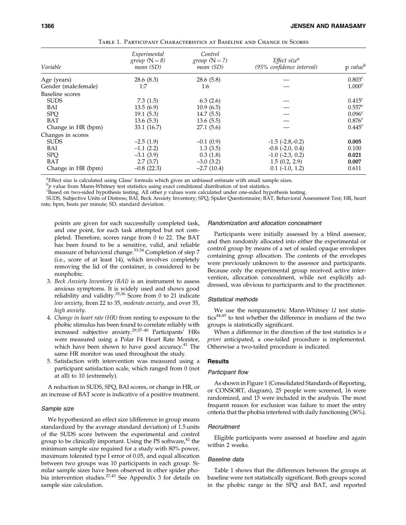| Variable              | Experimental<br>group $(N = 8)$<br>mean (SD) | Control<br>group $(N=7)$<br>mean (SD) | Effect size <sup>a</sup><br>(95% confidence interval) | p value <sup>b</sup> |
|-----------------------|----------------------------------------------|---------------------------------------|-------------------------------------------------------|----------------------|
| Age (years)           | 28.6(8.3)                                    | 28.6(5.8)                             |                                                       | 0.803 <sup>c</sup>   |
| Gender (male: female) | 1:7                                          | 1:6                                   |                                                       | 1.000 <sup>c</sup>   |
| Baseline scores       |                                              |                                       |                                                       |                      |
| <b>SUDS</b>           | 7.3(1.5)                                     | 6.3(2.6)                              |                                                       | $0.415$ <sup>c</sup> |
| BAI                   | 13.5(6.9)                                    | 10.9(6.5)                             |                                                       | $0.557$ <sup>c</sup> |
| <b>SPO</b>            | 19.1(5.3)                                    | 14.7(5.5)                             |                                                       | $0.096^{\circ}$      |
| <b>BAT</b>            | 13.6(5.3)                                    | 13.6(5.5)                             |                                                       | $0.876$ <sup>c</sup> |
| Change in HR (bpm)    | 33.1 (16.7)                                  | 27.1(5.6)                             |                                                       | $0.445^{\circ}$      |
| Changes in scores     |                                              |                                       |                                                       |                      |
| <b>SUDS</b>           | $-2.5(1.9)$                                  | $-0.1(0.9)$                           | $-1.5$ $(-2.8,-0.2)$                                  | 0.005                |
| BAI                   | $-1.1(2.2)$                                  | 1.3(3.5)                              | $-0.8$ $(-2.0, 0.4)$                                  | 0.100                |
| <b>SPQ</b>            | $-3.1(3.9)$                                  | 0.3(1.8)                              | $-1.0$ $(-2.3, 0.2)$                                  | 0.021                |
| <b>BAT</b>            | 2.7(3.7)                                     | $-3.0(3.2)$                           | 1.5(0.2, 2.9)                                         | 0.007                |
| Change in HR (bpm)    | $-0.8(22.3)$                                 | $-2.7(10.4)$                          | $0.1$ ( $-1.0$ , $1.2$ )                              | 0.611                |

| TABLE 1. PARTICIPANT CHARACTERISTICS AT BASELINE AND CHANGE IN SCORES |  |  |
|-----------------------------------------------------------------------|--|--|
|-----------------------------------------------------------------------|--|--|

<sup>a</sup>Effect size is calculated using Glass' formula which gives an unbiased estimate with small sample sizes.

b value from Mann-Whitney test statistics using exact conditional distribution of test statistics.<br>Seed on two sided bypothesis testing. All other a values were calculated under one sided by

 $B$ ased on two-sided hypothesis testing. All other p values were calculated under one-sided hypothesis testing.

SUDS, Subjective Units of Distress; BAI, Beck Anxiety Inventory; SPQ, Spider Questionnaire; BAT, Behavioral Assessment Test; HR, heart rate; bpm, beats per minute; SD, standard deviation.

points are given for each successfully completed task, and one point, for each task attempted but not completed. Therefore, scores range from 0 to 22. The BAT has been found to be a sensitive, valid, and reliable measure of behavioral change.<sup>33,34</sup> Completion of step 7 (i.e., score of at least 14), which involves completely removing the lid of the container, is considered to be nonphobic.

- 3. Beck Anxiety Inventory (BAI) is an instrument to assess anxious symptoms. It is widely used and shows good reliability and validity.<sup>35,36</sup> Score from 0 to 21 indicate low anxiety, from 22 to 35, moderate anxiety, and over 35, high anxiety.
- 4. Change in heart rate (HR) from resting to exposure to the phobic stimulus has been found to correlate reliably with increased subjective anxiety.29,37–40 Participants' HRs were measured using a Polar F4 Heart Rate Monitor, which have been shown to have good accuracy. $41$  The same HR monitor was used throughout the study.
- 5. Satisfaction with intervention was measured using a participant satisfaction scale, which ranged from 0 (not at all) to 10 (extremely).

A reduction in SUDS, SPQ, BAI scores, or change in HR, or an increase of BAT score is indicative of a positive treatment.

# Sample size

We hypothesized an effect size (difference in group means standardized by the average standard deviation) of 1.5 units of the SUDS score between the experimental and control group to be clinically important. Using the PS software, $42$  the minimum sample size required for a study with 80% power, maximum tolerated type I error of 0.05, and equal allocation between two groups was 10 participants in each group. Similar sample sizes have been observed in other spider phobia intervention studies.<sup>27,43</sup> See Appendix 3 for details on sample size calculation.

#### Randomization and allocation concealment

Participants were initially assessed by a blind assessor, and then randomly allocated into either the experimental or control group by means of a set of sealed opaque envelopes containing group allocation. The contents of the envelopes were previously unknown to the assessor and participants. Because only the experimental group received active intervention, allocation concealment, while not explicitly addressed, was obvious to participants and to the practitioner.

# Statistical methods

We use the nonparametric Mann-Whitney U test statistics<sup>44,45</sup> to test whether the difference in medians of the two groups is statistically significant.

When a difference in the direction of the test statistics is  $a$ priori anticipated, a one-tailed procedure is implemented. Otherwise a two-tailed procedure is indicated.

## **Results**

# Participant flow

As shown in Figure 1 (Consolidated Standards of Reporting, or CONSORT, diagram), 25 people were screened, 16 were randomized, and 15 were included in the analysis. The most frequent reason for exclusion was failure to meet the entry criteria that the phobia interfered with daily functioning (36%).

# **Recruitment**

Eligible participants were assessed at baseline and again within 2 weeks.

# Baseline data

Table 1 shows that the differences between the groups at baseline were not statistically significant. Both groups scored in the phobic range in the SPQ and BAT, and reported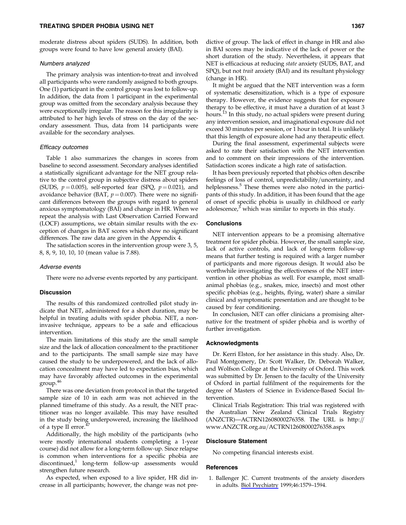# TREATING SPIDER PHOBIA USING NET **1367** 1367

moderate distress about spiders (SUDS). In addition, both groups were found to have low general anxiety (BAI).

#### Numbers analyzed

The primary analysis was intention-to-treat and involved all participants who were randomly assigned to both groups. One (1) participant in the control group was lost to follow-up. In addition, the data from 1 participant in the experimental group was omitted from the secondary analysis because they were exceptionally irregular. The reason for this irregularity is attributed to her high levels of stress on the day of the secondary assessment. Thus, data from 14 participants were available for the secondary analyses.

# Efficacy outcomes

Table 1 also summarizes the changes in scores from baseline to second assessment. Secondary analyses identified a statistically significant advantage for the NET group relative to the control group in subjective distress about spiders (SUDS,  $p = 0.005$ ), self-reported fear (SPQ,  $p = 0.021$ ), and avoidance behavior (BAT,  $p = 0.007$ ). There were no significant differences between the groups with regard to general anxious symptomatology (BAI) and change in HR. When we repeat the analysis with Last Observation Carried Forward (LOCF) assumptions, we obtain similar results with the exception of changes in BAT scores which show no significant differences. The raw data are given in the Appendix 4.

The satisfaction scores in the intervention group were 3, 5, 8, 8, 9, 10, 10, 10 (mean value is 7.88).

#### Adverse events

There were no adverse events reported by any participant.

#### **Discussion**

The results of this randomized controlled pilot study indicate that NET, administered for a short duration, may be helpful in treating adults with spider phobia. NET, a noninvasive technique, appears to be a safe and efficacious intervention.

The main limitations of this study are the small sample size and the lack of allocation concealment to the practitioner and to the participants. The small sample size may have caused the study to be underpowered, and the lack of allocation concealment may have led to expectation bias, which may have favorably affected outcomes in the experimental group.<sup>46</sup>

There was one deviation from protocol in that the targeted sample size of 10 in each arm was not achieved in the planned timeframe of this study. As a result, the NET practitioner was no longer available. This may have resulted in the study being underpowered, increasing the likelihood of a type II error. $\frac{4}{3}$ 

Additionally, the high mobility of the participants (who were mostly international students completing a 1-year course) did not allow for a long-term follow-up. Since relapse is common when interventions for a specific phobia are  $discontinued$ ,  $long-term$  follow-up assessments would strengthen future research.

As expected, when exposed to a live spider, HR did increase in all participants; however, the change was not predictive of group. The lack of effect in change in HR and also in BAI scores may be indicative of the lack of power or the short duration of the study. Nevertheless, it appears that NET is efficacious at reducing state anxiety (SUDS, BAT, and SPQ), but not *trait* anxiety (BAI) and its resultant physiology (change in HR).

It might be argued that the NET intervention was a form of systematic desensitization, which is a type of exposure therapy. However, the evidence suggests that for exposure therapy to be effective, it must have a duration of at least 3 hours.<sup>13</sup> In this study, no actual spiders were present during any intervention session, and imaginational exposure did not exceed 30 minutes per session, or 1 hour in total. It is unlikely that this length of exposure alone had any therapeutic effect.

During the final assessment, experimental subjects were asked to rate their satisfaction with the NET intervention and to comment on their impressions of the intervention. Satisfaction scores indicate a high rate of satisfaction.

It has been previously reported that phobics often describe feelings of loss of control, unpredictability/uncertainty, and helplessness.<sup>5</sup> These themes were also noted in the participants of this study. In addition, it has been found that the age of onset of specific phobia is usually in childhood or early adolescence, $3$  which was similar to reports in this study.

## Conclusions

NET intervention appears to be a promising alternative treatment for spider phobia. However, the small sample size, lack of active controls, and lack of long-term follow-up means that further testing is required with a larger number of participants and more rigorous design. It would also be worthwhile investigating the effectiveness of the NET intervention in other phobias as well. For example, most smallanimal phobias (e.g., snakes, mice, insects) and most other specific phobias (e.g., heights, flying, water) share a similar clinical and symptomatic presentation and are thought to be caused by fear conditioning.

In conclusion, NET can offer clinicians a promising alternative for the treatment of spider phobia and is worthy of further investigation.

#### Acknowledgments

Dr. Kerri Elston, for her assistance in this study. Also, Dr. Paul Montgomery, Dr. Scott Walker, Dr. Deborah Walker, and Wolfson College at the University of Oxford. This work was submitted by Dr. Jensen to the faculty of the University of Oxford in partial fulfilment of the requirements for the degree of Masters of Science in Evidence-Based Social Intervention.

Clinical Trials Registration: This trial was registered with the Australian New Zealand Clinical Trials Registry  $(ANZCTR)$ — $ACTRN12608000276358$ . The URL is http:// www.ANZCTR.org.au/ACTRN12608000276358.aspx

# Disclosure Statement

No competing financial interests exist.

#### References

1. Ballenger JC. Current treatments of the anxiety disorders in adults. Biol Psychiatry 1999;46:1579–1594.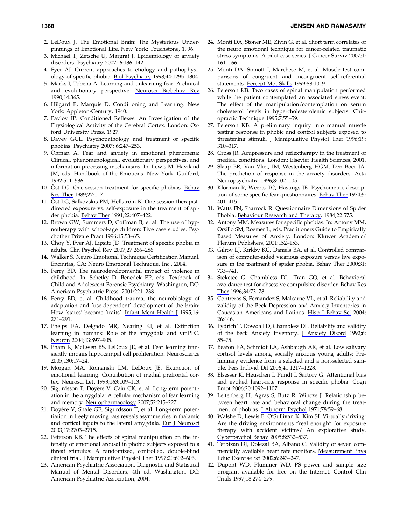- 2. LeDoux J. The Emotional Brain: The Mysterious Underpinnings of Emotional Life. New York: Touchstone, 1996.
- 3. Michael T, Zetsche U, Margraf J. Epidemiology of anxiety disorders. Psychiatry 2007; 6:136–142.
- 4. Fyer AJ. Current approaches to etiology and pathophysiology of specific phobia. Biol Psychiatry 1998;44:1295–1304.
- 5. Marks I, Tobeña A. Learning and unlearning fear: A clinical and evolutionary perspective. Neurosci Biobehav Rev 1990;14:365.
- 6. Hilgard E, Marquis D. Conditioning and Learning. New York: Appleton-Century, 1940.
- 7. Pavlov IP. Conditioned Reflexes: An Investigation of the Physiological Activity of the Cerebral Cortex. London: Oxford University Press, 1927.
- 8. Davey GCL. Psychopathology and treatment of specific phobias. Psychiatry 2007; 6:247–253.
- 9. Öhman A. Fear and anxiety in emotional phenomena: Clinical, phenomenological, evolutionary perspectives, and information processing mechanisms. In: Lewis M, Haviland JM, eds. Handbook of the Emotions. New York: Guilford, 1992:511–536.
- 10. Öst LG. One-session treatment for specific phobias. Behav Res Ther 1989;27:1–7.
- 11. Öst LG, Salkovskis PM, Hellström K. One-session therapistdirected exposure vs. self-exposure in the treatment of spider phobia. Behav Ther 1991;22:407–422.
- 12. Brown GW, Summers D, Coffman B, et al. The use of hypnotherapy with school-age children: Five case studies. Psychother Private Pract 1996;15:53–65.
- 13. Choy Y, Fyer AJ, Lipsitz JD. Treatment of specific phobia in adults. Clin Psychol Rev 2007;27:266–286.
- 14. Walker S. Neuro Emotional Technique Certification Manual. Encinitas, CA: Neuro Emotional Technique, Inc., 2004.
- 15. Perry BD. The neurodevelopmental impact of violence in childhood. In: Schetky D, Benedek EP, eds. Textbook of Child and Adolescent Forensic Psychiatry. Washington, DC: American Psychiatric Press, 2001:221–238.
- 16. Perry BD, et al. Childhood trauma, the neurobiology of adaptation and 'use-dependent' development of the brain: How 'states' become 'traits'. Infant Ment Health J 1995;16: 271–291.
- 17. Phelps EA, Delgado MR, Nearing KI, et al. Extinction learning in humans: Role of the amygdala and vmPFC. Neuron 2004;43:897–905.
- 18. Pham K, McEwen BS, LeDoux JE, et al. Fear learning transiently impairs hippocampal cell proliferation. Neuroscience 2005;130:17–24.
- 19. Morgan MA, Romanski LM, LeDoux JE. Extinction of emotional learning: Contribution of medial prefrontal cortex. Neurosci Lett 1993;163:109–113.
- 20. Sigurdsson T, Doyère V, Cain CK, et al. Long-term potentiation in the amygdala: A cellular mechanism of fear learning and memory. Neuropharmacology 2007;52:215–227.
- 21. Dovère V, Shafe GE, Sigurdsson T, et al. Long-term potentiation in freely moving rats reveals asymmetries in thalamic and cortical inputs to the lateral amygdala. Eur J Neurosci 2003;17:2703–2715.
- 22. Peterson KB. The effects of spinal manipulation on the intensity of emotional arousal in phobic subjects exposed to a threat stimulus: A randomized, controlled, double-blind clinical trial. J Manipulative Physiol Ther 1997;20:602–606.
- 23. American Psychiatric Association. Diagnostic and Statistical Manual of Mental Disorders, 4th ed. Washington, DC: American Psychiatric Association, 2004.
- 24. Monti DA, Stoner ME, Zivin G, et al. Short term correlates of the neuro emotional technique for cancer-related traumatic stress symptoms: A pilot case series. J Cancer Surviv 2007;1: 161–166.
- 25. Monti DA, Sinnott J, Marchese M, et al. Muscle test comparisons of congruent and incongruent self-referential statements. Percept Mot Skills 1999;88:1019.
- 26. Peterson KB. Two cases of spinal manipulation performed while the patient contemplated an associated stress event: The effect of the manipulation/contemplation on serum cholesterol levels in hypercholesterolemic subjects. Chiropractic Technique 1995;7:55–59.
- 27. Peterson KB. A preliminary inquiry into manual muscle testing response in phobic and control subjects exposed to threatening stimuli. J Manipulative Physiol Ther 1996;19: 310–317.
- 28. Cross JR. Acupressure and reflextherapy in the treatment of medical conditions. London: Elsevier Health Sciences, 2001.
- 29. Slaap BR, Van Vliet, IM, Westenberg HGM, Den Boer JA. The prediction of response in the anxiety disorders. Acta Neuropsychiatra 1996;8:102–105.
- 30. Klorman R, Weerts TC, Hastings JE. Psychometric description of some specific fear questionnaires. Behav Ther 1974;5: 401–415.
- 31. Watts FN, Sharrock R. Questionnaire Dimensions of Spider Phobia. Behaviour Research and Therapy, 1984;22:575.
- 32. Antony MM. Measures for specific phobias. In: Antony MM, Orsillo SM, Roemer L, eds. Practitioners Guide to Empirically Based Measures of Anxiety. London: Kluwer Academic/ Plenum Publishers, 2001:152–153.
- 33. Gilroy LJ, Kirkby KC, Daniels BA, et al. Controlled comparison of computer-aided vicarious exposure versus live exposure in the treatment of spider phobia. Behav Ther 2000;31: 733–741.
- 34. Steketee G, Chambless DL, Tran GQ, et al. Behavioral avoidance test for obsessive compulsive disorder. Behav Res Ther 1996;34:73–78.
- 35. Contreras S, Fernandez S, Malcarne VL, et al. Reliability and validity of the Beck Depression and Anxiety Inventories in Caucasian Americans and Latinos. Hisp J Behav Sci 2004; 26:446.
- 36. Fydrich T, Dowdall D, Chambless DL. Reliability and validity of the Beck Anxiety Inventory. J Anxiety Disord 1992;6: 55–75.
- 37. Beaton EA, Schmidt LA, Ashbaugh AR, et al. Low salivary cortisol levels among socially anxious young adults: Preliminary evidence from a selected and a non-selected sample. Pers Individ Dif 2006;41:1217–1228.
- 38. Elsesser K, Heuschen I, Pundt I, Sartory G. Attentional bias and evoked heart-rate response in specific phobia. Cogn Emot 2006;20:1092–1107.
- 39. Leitenberg H, Agras S, Butz R, Wincze J. Relationship between heart rate and behavioral change during the treatment of phobias. J Abnorm Psychol 1971;78:59–68.
- 40. Walshe D, Lewis E, O'Sullivan K, Kim SI. Virtually driving: Are the driving environments "real enough" for exposure therapy with accident victims? An explorative study. Cyberpsychol Behav 2005;8:532–537.
- 41. Terbizan DJ, Dolezal BA, Albano C. Validity of seven commercially available heart rate monitors. Measurement Phys Educ Exercise Sci 2002;6:243–247.
- 42. Dupont WD, Plummer WD. PS power and sample size program available for free on the Internet. Control Clin Trials 1997;18:274–279.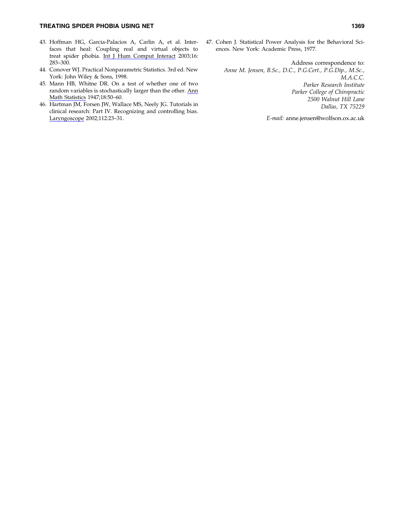# TREATING SPIDER PHOBIA USING NET **1369** 1369

- 43. Hoffman HG, Garcia-Palacios A, Carlin A, et al. Interfaces that heal: Coupling real and virtual objects to treat spider phobia. Int J Hum Comput Interact 2003;16: 283–300.
- 44. Conover WJ. Practical Nonparametric Statistics. 3rd ed. New York: John Wiley & Sons, 1998.
- 45. Mann HB, Whitne DR. On a test of whether one of two random variables is stochastically larger than the other. Ann Math Statistics 1947;18:50–60.
- 46. Hartman JM, Forsen JW, Wallace MS, Neely JG. Tutorials in clinical research: Part IV. Recognizing and controlling bias. Laryngoscope 2002;112:23–31.
- 47. Cohen J. Statistical Power Analysis for the Behavioral Sciences. New York: Academic Press, 1977.

Address correspondence to: Anne M. Jensen, B.Sc., D.C., P.G.Cert., P.G.Dip., M.Sc., M.A.C.C. Parker Research Institute Parker College of Chiropractic 2500 Walnut Hill Lane Dallas, TX 75229

E-mail: anne.jensen@wolfson.ox.ac.uk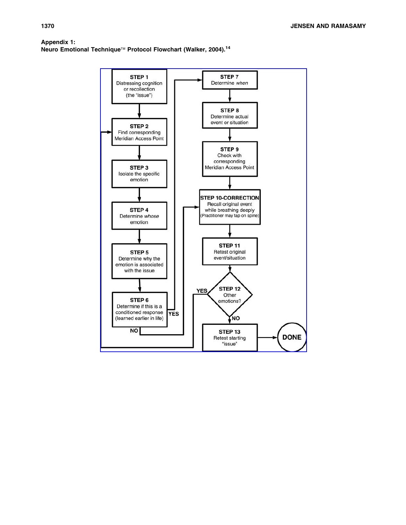# Appendix 1: Neuro Emotional Technique<sup>™</sup> Protocol Flowchart (Walker, 2004).<sup>14</sup>

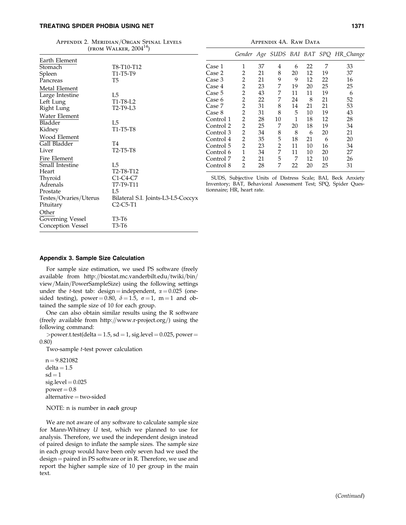# TREATING SPIDER PHOBIA USING NET **1371** 1371

Stomach T8-T10-T12<br>
Spleen T1-T5-T9

Large Intestine L5<br>
Left Lung 11-T8-L2 Left Lung T1-T8-L2<br>Right Lung T2-T9-L3

Pancreas T5

Bladder L5<br>Kidney T1

Gall Bladder T4 Liver T2-T5-T8

Small Intestine L5<br>Heart T2 Heart T2-T8-T12<br>Thyroid C1-C4-C7 Thyroid C1-C4-C7<br>Adrenals T7-T9-T11

Governing Vessel T3-T6<br>Conception Vessel T3-T6

Prostate<br>Testes/Ovaries/Uterus

Conception Vessel

Earth Element<br>Stomach

Metal Element

Wood Element

Fire Element

Pituitary **Other** 

Right Lung Water Element

| APPENDIX 2. MERIDIAN/ORGAN SPINAL LEVELS |
|------------------------------------------|
| (FROM WALKER, 2004 <sup>14</sup> )       |

T1-T5-T9

T1-T5-T8

T7-T9-T11<br>I5

Bilateral S.I. Joints-L3-L5-Coccyx<br>C2-C5-T1

| $1$ M I EINDIA TI M. INAW DAIA |   |    |    |    |    |    |                                       |
|--------------------------------|---|----|----|----|----|----|---------------------------------------|
|                                |   |    |    |    |    |    | Gender Age SUDS BAI BAT SPQ HR_Change |
| Case 1                         | 1 | 37 | 4  | 6  | 22 | 7  | 33                                    |
| Case 2                         | 2 | 21 | 8  | 20 | 12 | 19 | 37                                    |
| Case 3                         | 2 | 21 | 9  | 9  | 12 | 22 | 16                                    |
| Case 4                         | 2 | 23 | 7  | 19 | 20 | 25 | 25                                    |
| Case 5                         | 2 | 43 | 7  | 11 | 11 | 19 | 6                                     |
| Case 6                         | 2 | 22 | 7  | 24 | 8  | 21 | 52                                    |
| Case 7                         | 2 | 31 | 8  | 14 | 21 | 21 | 53                                    |
| Case 8                         | 2 | 31 | 8  | 5  | 10 | 19 | 43                                    |
| Control 1                      | 2 | 28 | 10 | 1  | 18 | 12 | 28                                    |
| Control 2                      | 2 | 25 | 7  | 20 | 18 | 19 | 34                                    |
| Control 3                      | 2 | 34 | 8  | 8  | 6  | 20 | 21                                    |
| Control 4                      | 2 | 35 | 5  | 18 | 21 | 6  | 20                                    |
| Control 5                      | 2 | 23 | 2  | 11 | 10 | 16 | 34                                    |
| Control 6                      | 1 | 34 | 7  | 11 | 10 | 20 | 27                                    |
| Control 7                      | 2 | 21 | 5  | 7  | 12 | 10 | 26                                    |
| Control 8                      | 2 | 28 | 7  | 22 | 20 | 25 | 31                                    |

Appendix 4A. RAW DATA

SUDS, Subjective Units of Distress Scale; BAI, Beck Anxiety Inventory; BAT, Behavioral Assessment Test; SPQ, Spider Questionnaire; HR, heart rate.

# Appendix 3. Sample Size Calculation

For sample size estimation, we used PS software (freely available from http://biostat.mc.vanderbilt.edu/twiki/bin/ view/Main/PowerSampleSize) using the following settings under the *t*-test tab: design = independent,  $\alpha = 0.025$  (onesided testing), power = 0.80,  $\delta = 1.5$ ,  $\sigma = 1$ , m = 1 and obtained the sample size of 10 for each group.

One can also obtain similar results using the R software (freely available from http://www.r-project.org/) using the following command:

 $\textdegree$ power.t.test(delta = 1.5, sd = 1, sig.level = 0.025, power = 0.80)

Two-sample t-test power calculation

 $n = 9.821082$  $delta = 1.5$  $sd = 1$  $sig. level = 0.025$  $power = 0.8$  $alternative = two-sided$ 

NOTE: n is number in each group

We are not aware of any software to calculate sample size for Mann-Whitney U test, which we planned to use for analysis. Therefore, we used the independent design instead of paired design to inflate the sample sizes. The sample size in each group would have been only seven had we used the  $design = paired$  in PS software or in R. Therefore, we use and report the higher sample size of 10 per group in the main text.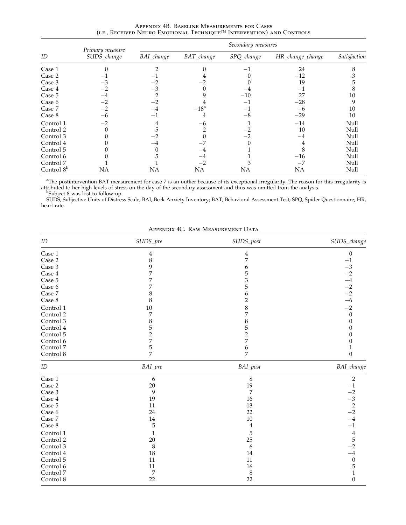Appendix 4B. Baseline Measurements for Cases (I.E., RECEIVED NEURO EMOTIONAL TECHNIQUE<sup>™</sup> INTERVENTION) AND CONTROLS

|               | Primary measure<br>SUDŠ_change | Secondary measures |            |            |                  |              |  |  |
|---------------|--------------------------------|--------------------|------------|------------|------------------|--------------|--|--|
| ID            |                                | <b>BAI_change</b>  | BAT_change | SPQ_change | HR_change_change | Satisfaction |  |  |
| Case 1        |                                |                    |            | $-1$       | 24               |              |  |  |
| Case 2        | —                              |                    |            |            | $-12$            |              |  |  |
| Case 3        | -3                             | $-2$               |            |            | 19               |              |  |  |
| Case 4        | $-2$                           | $-3$               |            |            |                  |              |  |  |
| Case 5        | -4                             |                    |            | $-10$      | 27               | 10           |  |  |
| Case 6        | $-2$                           |                    |            | -1         | $-28$            |              |  |  |
| Case 7        | $-2$                           |                    | $-18a$     |            | -6               | 10           |  |  |
| Case 8        | -6                             | $-1$               |            | $-8$       | $-29$            | 10           |  |  |
| Control 1     | $-2$                           |                    | —ი         |            | $-14$            | Null         |  |  |
| Control 2     |                                |                    |            |            | 10               | Null         |  |  |
| Control 3     |                                |                    |            | -2         |                  | Null         |  |  |
| Control 4     |                                |                    |            |            |                  | Null         |  |  |
| Control 5     |                                |                    |            |            |                  | Null         |  |  |
| Control 6     |                                |                    |            |            | $-16$            | Null         |  |  |
| Control 7     |                                |                    |            |            |                  | Null         |  |  |
| Control $8^b$ | NA                             | NA                 | NA         | NA         | ΝA               | Null         |  |  |

<sup>a</sup>The postintervention BAT measurement for case 7 is an outlier because of its exceptional irregularity. The reason for this irregularity is attributed to her high levels of stress on the day of the secondary assessment and thus was omitted from the analysis.<br><sup>b</sup>Subject 8 was lost to follow-up.

SUDS, Subjective Units of Distress Scale; BAI, Beck Anxiety Inventory; BAT, Behavioral Assessment Test; SPQ, Spider Questionnaire; HR, heart rate.

| ID        | SUDS_pre       | SUDS_post               | SUDS_change                                  |
|-----------|----------------|-------------------------|----------------------------------------------|
| Case 1    | 4              | 4                       | $\mathbf{0}$                                 |
| Case 2    | $\,8\,$        | 7                       | $-1$                                         |
| Case 3    | 9              | 6                       | $-3$                                         |
| Case 4    | 7              | 5                       | $-2$                                         |
| Case 5    | 7              | 3                       | $-4$                                         |
| Case 6    | 7              | 5                       | $-2$                                         |
| Case 7    | 8              | 6                       | $-2$                                         |
| Case 8    | 8              | $\overline{c}$          | $-6$                                         |
| Control 1 | 10             | $\,8\,$                 | $-2$                                         |
| Control 2 | 7              | $\overline{7}$          | $\theta$                                     |
| Control 3 | $\,8\,$        | $\,8\,$                 | $\theta$                                     |
| Control 4 | 5              | 5                       | $\theta$                                     |
| Control 5 | $\overline{2}$ | $\overline{2}$          | $\theta$                                     |
| Control 6 | $\overline{7}$ | $\overline{7}$          | $\theta$                                     |
| Control 7 | 5              | 6                       | 1                                            |
| Control 8 | $\overline{7}$ | $\overline{7}$          | $\boldsymbol{0}$                             |
| $I\!D$    | BAI_pre        | BAI_post                | BAI_change                                   |
| Case 1    | 6              | $\,8\,$                 | $\overline{c}$                               |
| Case 2    | 20             | 19                      |                                              |
| Case 3    | 9              | 7                       | $-1$<br>$-2$<br>$-3$<br>$-2$<br>$-2$<br>$-4$ |
| Case 4    | 19             | 16                      |                                              |
| Case 5    | 11             | 13                      |                                              |
| Case 6    | 24             | 22                      |                                              |
| Case 7    | 14             | 10                      |                                              |
| Case 8    | 5              | $\overline{\mathbf{4}}$ | $-1$                                         |
| Control 1 | $\mathbf{1}$   | 5                       |                                              |
| Control 2 | 20             | 25                      | $\begin{array}{c} 4 \\ 5 \\ -2 \end{array}$  |
| Control 3 | $\,8\,$        | 6                       |                                              |
| Control 4 | 18             | 14                      | $-4$                                         |
| Control 5 | 11             | 11                      | $\boldsymbol{0}$                             |
| Control 6 | 11             | 16                      | $\frac{5}{1}$                                |
| Control 7 | 7              | $\,$ 8 $\,$             |                                              |
| Control 8 | 22             | 22                      | $\boldsymbol{0}$                             |

Appendix 4C. Raw Measurement Data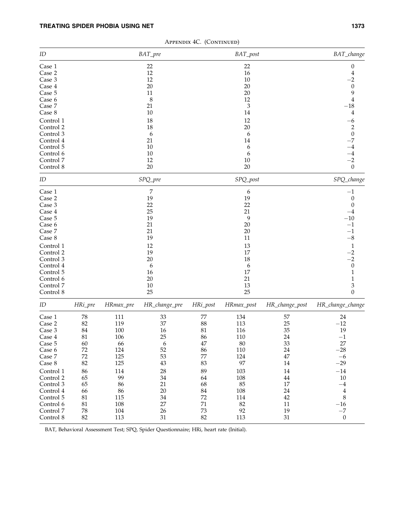| ID        |         |           | BAT_pre       |          | BAT_post      |                | BAT_change                                   |
|-----------|---------|-----------|---------------|----------|---------------|----------------|----------------------------------------------|
| Case 1    |         |           | 22            |          | 22            |                | 0                                            |
| Case 2    |         |           | 12            |          | 16            |                | $\overline{\mathbf{4}}$                      |
| Case 3    |         |           | 12            |          | 10            |                | $-2$                                         |
| Case 4    |         |           | 20            |          | 20            |                | $\boldsymbol{0}$                             |
| Case 5    |         |           | 11            |          | 20            |                | $\frac{9}{4}$                                |
| Case 6    |         |           | $\,8\,$       |          | 12            |                |                                              |
| Case 7    |         |           | 21            |          | $\mathfrak z$ |                | $-18$                                        |
| Case 8    |         |           | $10\,$        |          | $14\,$        |                | $\bf 4$                                      |
| Control 1 |         |           | 18            |          | 12            |                | $-6$                                         |
| Control 2 |         |           | 18            |          | 20            |                |                                              |
| Control 3 |         |           | 6             |          | 6             |                | $\begin{smallmatrix} 2\\0 \end{smallmatrix}$ |
| Control 4 |         |           | 21            |          | 14            |                | $-7$                                         |
| Control 5 |         |           | 10            |          | 6             |                | $-4$                                         |
| Control 6 |         |           | $10\,$        |          | 6             |                | $-4\,$                                       |
| Control 7 |         |           | 12            |          | 10            |                | $-2$                                         |
| Control 8 |         |           | $20\,$        |          | 20            |                | $\boldsymbol{0}$                             |
| $I\!D$    |         |           | SPQ_pre       |          | SPQ_post      |                | SPQ_change                                   |
| Case 1    |         |           | 7             |          | 6             |                | $-1$                                         |
| Case 2    |         |           | 19            |          | 19            |                | $\boldsymbol{0}$                             |
| Case 3    |         |           | 22            |          | 22            |                | $\boldsymbol{0}$                             |
| Case 4    |         |           | 25            |          | 21            |                | $-4$                                         |
| Case 5    |         |           | 19            |          | 9             |                | $-10$                                        |
| Case 6    |         |           | 21            |          | 20            |                | $-1$                                         |
| Case 7    |         |           | 21            |          | 20            |                | $^{\rm -1}$                                  |
| Case 8    |         |           | 19            |          | 11            |                | $-8$                                         |
| Control 1 |         |           | 12            |          | 13            |                | $\frac{1}{-2}$<br>-2                         |
| Control 2 |         |           | 19            |          | 17            |                |                                              |
| Control 3 |         |           | 20            |          | 18            |                |                                              |
| Control 4 |         |           | 6             |          | 6             |                | $\boldsymbol{0}$                             |
| Control 5 |         |           | 16            |          | 17            |                | $\,1$                                        |
| Control 6 |         |           | $20\,$        |          | 21            |                | $\,1\,$                                      |
| Control 7 |         |           | $10\,$        |          | 13            |                | 3                                            |
| Control 8 |         |           | 25            |          | 25            |                | $\boldsymbol{0}$                             |
| ID        | HRi_pre | HRmax_pre | HR_change_pre | HRi_post | HRmax_post    | HR_change_post | HR_change_change                             |
| Case 1    | 78      | 111       | 33            | 77       | 134           | 57             | 24                                           |
| Case 2    | 82      | 119       | 37            | 88       | 113           | 25             | $-12$                                        |
| Case 3    | 84      | 100       | 16            | 81       | 116           | 35             | 19                                           |
| Case 4    | 81      | 106       | 25            | 86       | 110           | 24             | $-1$                                         |
| Case 5    | 60      | 66        | $\sqrt{6}$    | 47       | 80            | 33             | 27                                           |
| Case 6    | 72      | 124       | 52            | 86       | 110           | 24             | $-28$                                        |
| Case 7    | $72\,$  | 125       | 53            | 77       | 124           | 47             | $-6\,$                                       |
| Case 8    | 82      | 125       | $43\,$        | 83       | 97            | 14             | $-29$                                        |
| Control 1 | 86      | 114       | 28            | 89       | 103           | 14             | $-14\,$                                      |
| Control 2 | 65      | 99        | $34\,$        | 64       | $108\,$       | 44             | $10\,$                                       |
| Control 3 | 65      | 86        | 21            | 68       | 85            | 17             | $-4\,$                                       |
| Control 4 | 66      | 86        | $20\,$        | $84\,$   | 108           | 24             | $\bf 4$                                      |
| Control 5 | 81      | 115       | $34\,$        | $72\,$   | 114           | 42             | $\,$ 8 $\,$                                  |
| Control 6 | 81      | $108\,$   | 27            | $71\,$   | 82            | 11             | $-16$                                        |
| Control 7 | 78      | 104       | 26            | $73\,$   | 92            | 19             | $-\mathbf{7}$                                |
| Control 8 | 82      | 113       | 31            | 82       | 113           | 31             | $\boldsymbol{0}$                             |

Appendix 4C. (CONTINUED)

BAT, Behavioral Assessment Test; SPQ, Spider Questionnaire; HRi, heart rate (Initial).